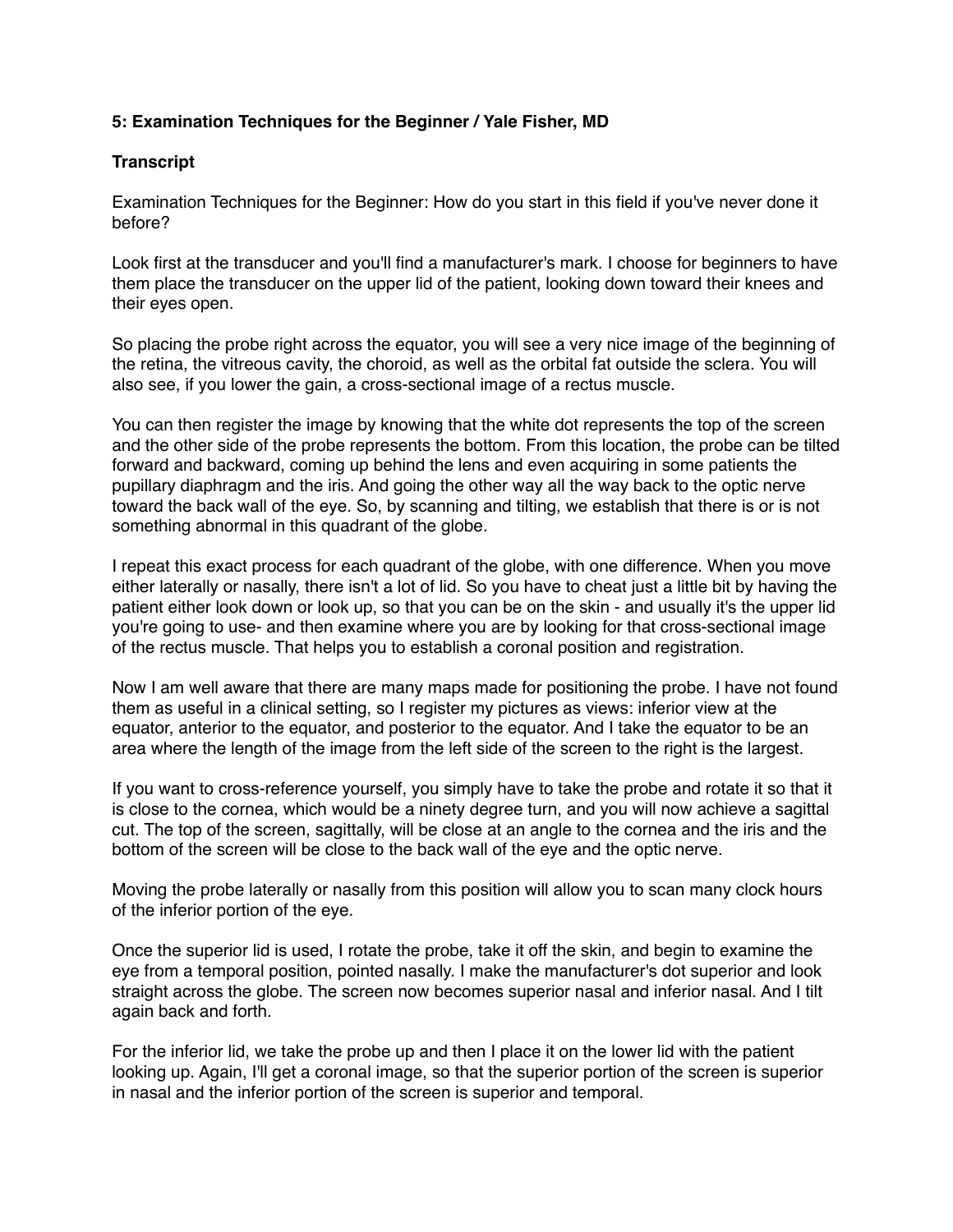## **5: Examination Techniques for the Beginner / Yale Fisher, MD**

## **Transcript**

Examination Techniques for the Beginner: How do you start in this field if you've never done it before?

Look first at the transducer and you'll find a manufacturer's mark. I choose for beginners to have them place the transducer on the upper lid of the patient, looking down toward their knees and their eyes open.

So placing the probe right across the equator, you will see a very nice image of the beginning of the retina, the vitreous cavity, the choroid, as well as the orbital fat outside the sclera. You will also see, if you lower the gain, a cross-sectional image of a rectus muscle.

You can then register the image by knowing that the white dot represents the top of the screen and the other side of the probe represents the bottom. From this location, the probe can be tilted forward and backward, coming up behind the lens and even acquiring in some patients the pupillary diaphragm and the iris. And going the other way all the way back to the optic nerve toward the back wall of the eye. So, by scanning and tilting, we establish that there is or is not something abnormal in this quadrant of the globe.

I repeat this exact process for each quadrant of the globe, with one difference. When you move either laterally or nasally, there isn't a lot of lid. So you have to cheat just a little bit by having the patient either look down or look up, so that you can be on the skin - and usually it's the upper lid you're going to use- and then examine where you are by looking for that cross-sectional image of the rectus muscle. That helps you to establish a coronal position and registration.

Now I am well aware that there are many maps made for positioning the probe. I have not found them as useful in a clinical setting, so I register my pictures as views: inferior view at the equator, anterior to the equator, and posterior to the equator. And I take the equator to be an area where the length of the image from the left side of the screen to the right is the largest.

If you want to cross-reference yourself, you simply have to take the probe and rotate it so that it is close to the cornea, which would be a ninety degree turn, and you will now achieve a sagittal cut. The top of the screen, sagittally, will be close at an angle to the cornea and the iris and the bottom of the screen will be close to the back wall of the eye and the optic nerve.

Moving the probe laterally or nasally from this position will allow you to scan many clock hours of the inferior portion of the eye.

Once the superior lid is used, I rotate the probe, take it off the skin, and begin to examine the eye from a temporal position, pointed nasally. I make the manufacturer's dot superior and look straight across the globe. The screen now becomes superior nasal and inferior nasal. And I tilt again back and forth.

For the inferior lid, we take the probe up and then I place it on the lower lid with the patient looking up. Again, I'll get a coronal image, so that the superior portion of the screen is superior in nasal and the inferior portion of the screen is superior and temporal.